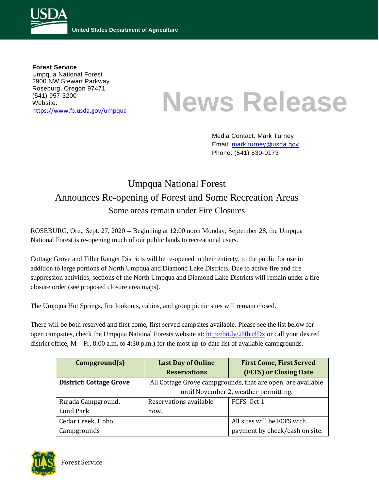

**Forest Service** Umpqua National Forest 2900 NW Stewart Parkway Roseburg, Oregon 97471 (541) 957-3200 Website: <https://www.fs.usda.gov/umpqua>

## **News Release**

Media Contact: Mark Turney Email: [mark.turney@usda.gov](mailto:mark.turney@usda.gov) Phone: (541) 530-0173

## Umpqua National Forest Announces Re-opening of Forest and Some Recreation Areas Some areas remain under Fire Closures

ROSEBURG, Ore., Sept. 27, 2020 -- Beginning at 12:00 noon Monday, September 28, the Umpqua National Forest is re-opening much of our public lands to recreational users.

Cottage Grove and Tiller Ranger Districts will be re-opened in their entirety, to the public for use in addition to large portions of North Umpqua and Diamond Lake Districts. Due to active fire and fire suppression activities, sections of the North Umpqua and Diamond Lake Districts will remain under a fire closure order (see proposed closure area maps).

The Umpqua Hot Springs, fire lookouts, cabins, and group picnic sites will remain closed.

There will be both reserved and first come, first served campsites available. Please see the list below for open campsites, check the Umpqua National Forests website at:<http://bit.ly/2Hhu4Dx> or call your desired district office, M – Fr, 8:00 a.m. to 4:30 p.m.) for the most up-to-date list of available campgrounds.

| Campground(s)                  | <b>Last Day of Online</b>                                   | <b>First Come, First Served</b> |
|--------------------------------|-------------------------------------------------------------|---------------------------------|
|                                | <b>Reservations</b>                                         | <b>(FCFS) or Closing Date</b>   |
| <b>District: Cottage Grove</b> | All Cottage Grove campgrounds, that are open, are available |                                 |
|                                | until November 2, weather permitting.                       |                                 |
| Rujada Campground,             | Reservations available                                      | FCFS: Oct 1                     |
| Lund Park                      | now.                                                        |                                 |
| Cedar Creek, Hobo              |                                                             | All sites will be FCFS with     |
| Campgrounds                    |                                                             | payment by check/cash on site.  |